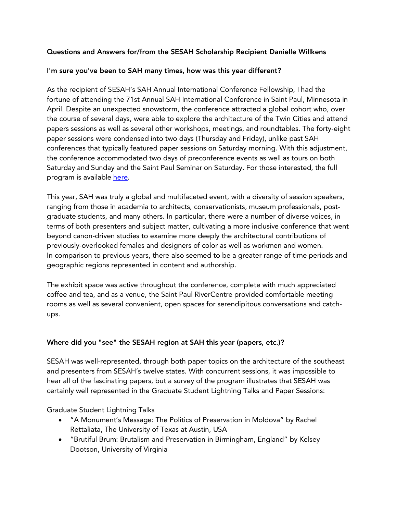## Questions and Answers for/from the SESAH Scholarship Recipient Danielle Willkens

### I'm sure you've been to SAH many times, how was this year different?

As the recipient of SESAH's SAH Annual International Conference Fellowship, I had the fortune of attending the 71st Annual SAH International Conference in Saint Paul, Minnesota in April. Despite an unexpected snowstorm, the conference attracted a global cohort who, over the course of several days, were able to explore the architecture of the Twin Cities and attend papers sessions as well as several other workshops, meetings, and roundtables. The forty-eight paper sessions were condensed into two days (Thursday and Friday), unlike past SAH conferences that typically featured paper sessions on Saturday morning. With this adjustment, the conference accommodated two days of preconference events as well as tours on both Saturday and Sunday and the Saint Paul Seminar on Saturday. For those interested, the full program is available here.

This year, SAH was truly a global and multifaceted event, with a diversity of session speakers, ranging from those in academia to architects, conservationists, museum professionals, postgraduate students, and many others. In particular, there were a number of diverse voices, in terms of both presenters and subject matter, cultivating a more inclusive conference that went beyond canon-driven studies to examine more deeply the architectural contributions of previously-overlooked females and designers of color as well as workmen and women. In comparison to previous years, there also seemed to be a greater range of time periods and geographic regions represented in content and authorship.

The exhibit space was active throughout the conference, complete with much appreciated coffee and tea, and as a venue, the Saint Paul RiverCentre provided comfortable meeting rooms as well as several convenient, open spaces for serendipitous conversations and catchups.

## Where did you "see" the SESAH region at SAH this year (papers, etc.)?

SESAH was well-represented, through both paper topics on the architecture of the southeast and presenters from SESAH's twelve states. With concurrent sessions, it was impossible to hear all of the fascinating papers, but a survey of the program illustrates that SESAH was certainly well represented in the Graduate Student Lightning Talks and Paper Sessions:

Graduate Student Lightning Talks

- "A Monument's Message: The Politics of Preservation in Moldova" by Rachel Rettaliata, The University of Texas at Austin, USA
- "Brutiful Brum: Brutalism and Preservation in Birmingham, England" by Kelsey Dootson, University of Virginia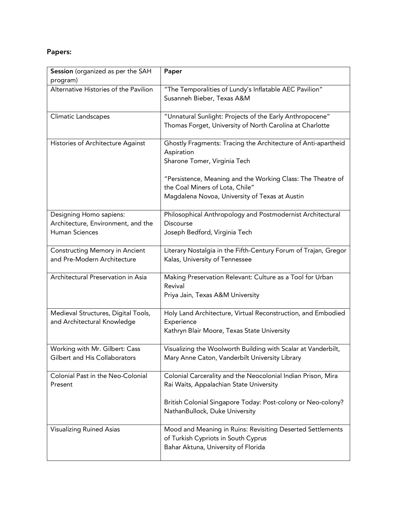# Papers:

| Session (organized as per the SAH<br>program)                                   | Paper                                                                                                                                                                      |
|---------------------------------------------------------------------------------|----------------------------------------------------------------------------------------------------------------------------------------------------------------------------|
| Alternative Histories of the Pavilion                                           | "The Temporalities of Lundy's Inflatable AEC Pavilion"<br>Susanneh Bieber, Texas A&M                                                                                       |
| Climatic Landscapes                                                             | "Unnatural Sunlight: Projects of the Early Anthropocene"<br>Thomas Forget, University of North Carolina at Charlotte                                                       |
| Histories of Architecture Against                                               | Ghostly Fragments: Tracing the Architecture of Anti-apartheid<br>Aspiration<br>Sharone Tomer, Virginia Tech                                                                |
|                                                                                 | "Persistence, Meaning and the Working Class: The Theatre of<br>the Coal Miners of Lota, Chile"<br>Magdalena Novoa, University of Texas at Austin                           |
| Designing Homo sapiens:<br>Architecture, Environment, and the<br>Human Sciences | Philosophical Anthropology and Postmodernist Architectural<br><b>Discourse</b><br>Joseph Bedford, Virginia Tech                                                            |
| Constructing Memory in Ancient<br>and Pre-Modern Architecture                   | Literary Nostalgia in the Fifth-Century Forum of Trajan, Gregor<br>Kalas, University of Tennessee                                                                          |
| Architectural Preservation in Asia                                              | Making Preservation Relevant: Culture as a Tool for Urban<br>Revival<br>Priya Jain, Texas A&M University                                                                   |
| Medieval Structures, Digital Tools,<br>and Architectural Knowledge              | Holy Land Architecture, Virtual Reconstruction, and Embodied<br>Experience<br>Kathryn Blair Moore, Texas State University                                                  |
| Working with Mr. Gilbert: Cass<br>Gilbert and His Collaborators                 | Visualizing the Woolworth Building with Scalar at Vanderbilt,<br>Mary Anne Caton, Vanderbilt University Library                                                            |
| Colonial Past in the Neo-Colonial<br>Present                                    | Colonial Carcerality and the Neocolonial Indian Prison, Mira<br>Rai Waits, Appalachian State University<br>British Colonial Singapore Today: Post-colony or Neo-colony?    |
| <b>Visualizing Ruined Asias</b>                                                 | NathanBullock, Duke University<br>Mood and Meaning in Ruins: Revisiting Deserted Settlements<br>of Turkish Cypriots in South Cyprus<br>Bahar Aktuna, University of Florida |
|                                                                                 |                                                                                                                                                                            |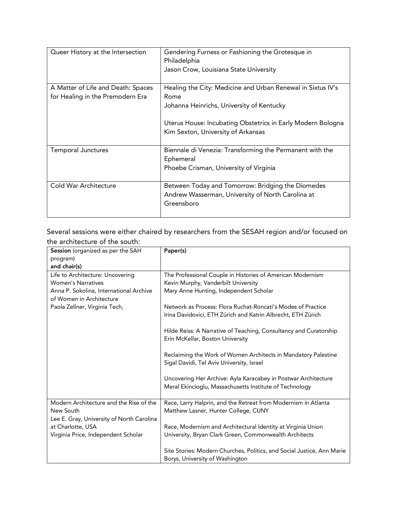| Queer History at the Intersection                                      | Gendering Furness or Fashioning the Grotesque in<br>Philadelphia<br>Jason Crow, Louisiana State University                                                                                                            |
|------------------------------------------------------------------------|-----------------------------------------------------------------------------------------------------------------------------------------------------------------------------------------------------------------------|
| A Matter of Life and Death: Spaces<br>for Healing in the Premodern Era | Healing the City: Medicine and Urban Renewal in Sixtus IV's<br>Rome<br>Johanna Heinrichs, University of Kentucky<br>Uterus House: Incubating Obstetrics in Early Modern Bologna<br>Kim Sexton, University of Arkansas |
| <b>Temporal Junctures</b>                                              | Biennale di Venezia: Transforming the Permanent with the<br>Ephemeral<br>Phoebe Crisman, University of Virginia                                                                                                       |
| Cold War Architecture                                                  | Between Today and Tomorrow: Bridging the Diomedes<br>Andrew Wasserman, University of North Carolina at<br>Greensboro                                                                                                  |

Several sessions were either chaired by researchers from the SESAH region and/or focused on the architecture of the south:

| Session (organized as per the SAH         | Paper(s)                                                               |
|-------------------------------------------|------------------------------------------------------------------------|
| program)                                  |                                                                        |
| and chair(s)                              |                                                                        |
| Life to Architecture: Uncovering          | The Professional Couple in Histories of American Modernism             |
| <b>Women's Narratives</b>                 | Kevin Murphy, Vanderbilt University                                    |
| Anna P. Sokolina, International Archive   | Mary Anne Hunting, Independent Scholar                                 |
| of Women in Architecture                  |                                                                        |
| Paola Zellner, Virginia Tech,             | Network as Process: Flora Ruchat-Roncati's Modes of Practice           |
|                                           | Irina Davidovici, ETH Zürich and Katrin Albrecht, ETH Zürich           |
|                                           | Hilde Reiss: A Narrative of Teaching, Consultancy and Curatorship      |
|                                           | Erin McKellar, Boston University                                       |
|                                           |                                                                        |
|                                           | Reclaiming the Work of Women Architects in Mandatory Palestine         |
|                                           | Sigal Davidi, Tel Aviv University, Israel                              |
|                                           |                                                                        |
|                                           | Uncovering Her Archive: Ayla Karacabey in Postwar Architecture         |
|                                           | Meral Ekincioglu, Massachusetts Institute of Technology                |
| Modern Architecture and the Rise of the   | Race, Larry Halprin, and the Retreat from Modernism in Atlanta         |
| New South                                 | Matthew Lasner, Hunter College, CUNY                                   |
| Lee E. Gray, University of North Carolina |                                                                        |
| at Charlotte, USA                         | Race, Modernism and Architectural Identity at Virginia Union           |
| Virginia Price, Independent Scholar       | University, Bryan Clark Green, Commonwealth Architects                 |
|                                           |                                                                        |
|                                           | Site Stories: Modern Churches, Politics, and Social Justice, Ann Marie |
|                                           | Borys, University of Washington                                        |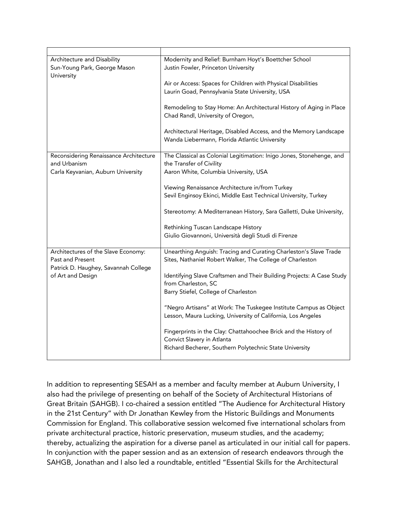| Architecture and Disability<br>Sun-Young Park, George Mason<br>University                                            | Modernity and Relief: Burnham Hoyt's Boettcher School<br>Justin Fowler, Princeton University<br>Air or Access: Spaces for Children with Physical Disabilities<br>Laurin Goad, Pennsylvania State University, USA<br>Remodeling to Stay Home: An Architectural History of Aging in Place<br>Chad Randl, University of Oregon,<br>Architectural Heritage, Disabled Access, and the Memory Landscape<br>Wanda Liebermann, Florida Atlantic University                                                                                                                       |
|----------------------------------------------------------------------------------------------------------------------|--------------------------------------------------------------------------------------------------------------------------------------------------------------------------------------------------------------------------------------------------------------------------------------------------------------------------------------------------------------------------------------------------------------------------------------------------------------------------------------------------------------------------------------------------------------------------|
| Reconsidering Renaissance Architecture<br>and Urbanism<br>Carla Keyvanian, Auburn University                         | The Classical as Colonial Legitimation: Inigo Jones, Stonehenge, and<br>the Transfer of Civility<br>Aaron White, Columbia University, USA<br>Viewing Renaissance Architecture in/from Turkey<br>Sevil Enginsoy Ekinci, Middle East Technical University, Turkey<br>Stereotomy: A Mediterranean History, Sara Galletti, Duke University,<br>Rethinking Tuscan Landscape History<br>Giulio Giovannoni, Università degli Studi di Firenze                                                                                                                                   |
| Architectures of the Slave Economy:<br>Past and Present<br>Patrick D. Haughey, Savannah College<br>of Art and Design | Unearthing Anguish: Tracing and Curating Charleston's Slave Trade<br>Sites, Nathaniel Robert Walker, The College of Charleston<br>Identifying Slave Craftsmen and Their Building Projects: A Case Study<br>from Charleston, SC<br>Barry Stiefel, College of Charleston<br>"Negro Artisans" at Work: The Tuskegee Institute Campus as Object<br>Lesson, Maura Lucking, University of California, Los Angeles<br>Fingerprints in the Clay: Chattahoochee Brick and the History of<br>Convict Slavery in Atlanta<br>Richard Becherer, Southern Polytechnic State University |

In addition to representing SESAH as a member and faculty member at Auburn University, I also had the privilege of presenting on behalf of the Society of Architectural Historians of Great Britain (SAHGB). I co-chaired a session entitled "The Audience for Architectural History in the 21st Century" with Dr Jonathan Kewley from the Historic Buildings and Monuments Commission for England. This collaborative session welcomed five international scholars from private architectural practice, historic preservation, museum studies, and the academy; thereby, actualizing the aspiration for a diverse panel as articulated in our initial call for papers. In conjunction with the paper session and as an extension of research endeavors through the SAHGB, Jonathan and I also led a roundtable, entitled "Essential Skills for the Architectural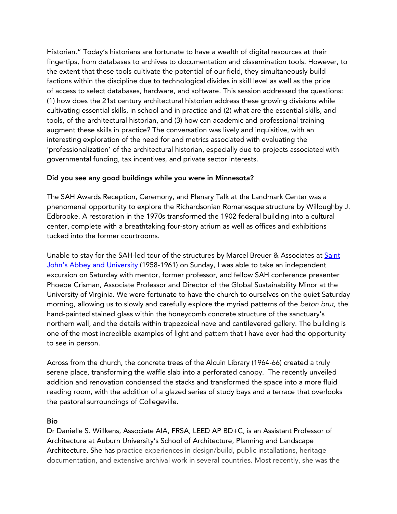Historian." Today's historians are fortunate to have a wealth of digital resources at their fingertips, from databases to archives to documentation and dissemination tools. However, to the extent that these tools cultivate the potential of our field, they simultaneously build factions within the discipline due to technological divides in skill level as well as the price of access to select databases, hardware, and software. This session addressed the questions: (1) how does the 21st century architectural historian address these growing divisions while cultivating essential skills, in school and in practice and (2) what are the essential skills, and tools, of the architectural historian, and (3) how can academic and professional training augment these skills in practice? The conversation was lively and inquisitive, with an interesting exploration of the need for and metrics associated with evaluating the 'professionalization' of the architectural historian, especially due to projects associated with governmental funding, tax incentives, and private sector interests.

### Did you see any good buildings while you were in Minnesota?

The SAH Awards Reception, Ceremony, and Plenary Talk at the Landmark Center was a phenomenal opportunity to explore the Richardsonian Romanesque structure by Willoughby J. Edbrooke. A restoration in the 1970s transformed the 1902 federal building into a cultural center, complete with a breathtaking four-story atrium as well as offices and exhibitions tucked into the former courtrooms.

Unable to stay for the SAH-led tour of the structures by Marcel Breuer & Associates at Saint John's Abbey and University (1958-1961) on Sunday, I was able to take an independent excursion on Saturday with mentor, former professor, and fellow SAH conference presenter Phoebe Crisman, Associate Professor and Director of the Global Sustainability Minor at the University of Virginia. We were fortunate to have the church to ourselves on the quiet Saturday morning, allowing us to slowly and carefully explore the myriad patterns of the *beton brut*, the hand-painted stained glass within the honeycomb concrete structure of the sanctuary's northern wall, and the details within trapezoidal nave and cantilevered gallery. The building is one of the most incredible examples of light and pattern that I have ever had the opportunity to see in person.

Across from the church, the concrete trees of the Alcuin Library (1964-66) created a truly serene place, transforming the waffle slab into a perforated canopy. The recently unveiled addition and renovation condensed the stacks and transformed the space into a more fluid reading room, with the addition of a glazed series of study bays and a terrace that overlooks the pastoral surroundings of Collegeville.

#### Bio

Dr Danielle S. Willkens, Associate AIA, FRSA, LEED AP BD+C, is an Assistant Professor of Architecture at Auburn University's School of Architecture, Planning and Landscape Architecture. She has practice experiences in design/build, public installations, heritage documentation, and extensive archival work in several countries. Most recently, she was the